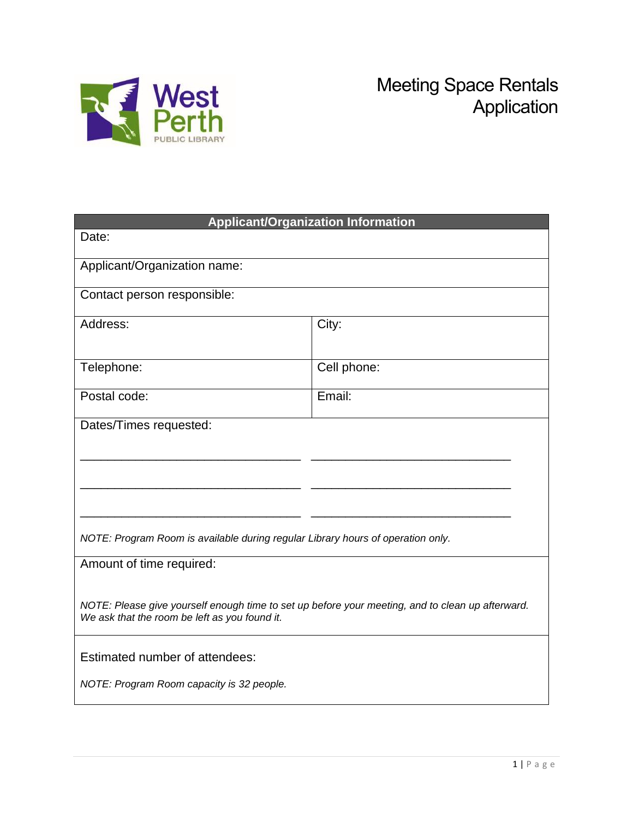

| <b>Applicant/Organization Information</b>                                                                                                         |  |  |  |  |
|---------------------------------------------------------------------------------------------------------------------------------------------------|--|--|--|--|
|                                                                                                                                                   |  |  |  |  |
|                                                                                                                                                   |  |  |  |  |
| Contact person responsible:                                                                                                                       |  |  |  |  |
| City:                                                                                                                                             |  |  |  |  |
| Cell phone:                                                                                                                                       |  |  |  |  |
| Email:                                                                                                                                            |  |  |  |  |
|                                                                                                                                                   |  |  |  |  |
|                                                                                                                                                   |  |  |  |  |
|                                                                                                                                                   |  |  |  |  |
| NOTE: Program Room is available during regular Library hours of operation only.                                                                   |  |  |  |  |
| Amount of time required:                                                                                                                          |  |  |  |  |
| NOTE: Please give yourself enough time to set up before your meeting, and to clean up afterward.<br>We ask that the room be left as you found it. |  |  |  |  |
| Estimated number of attendees:                                                                                                                    |  |  |  |  |
| NOTE: Program Room capacity is 32 people.                                                                                                         |  |  |  |  |
|                                                                                                                                                   |  |  |  |  |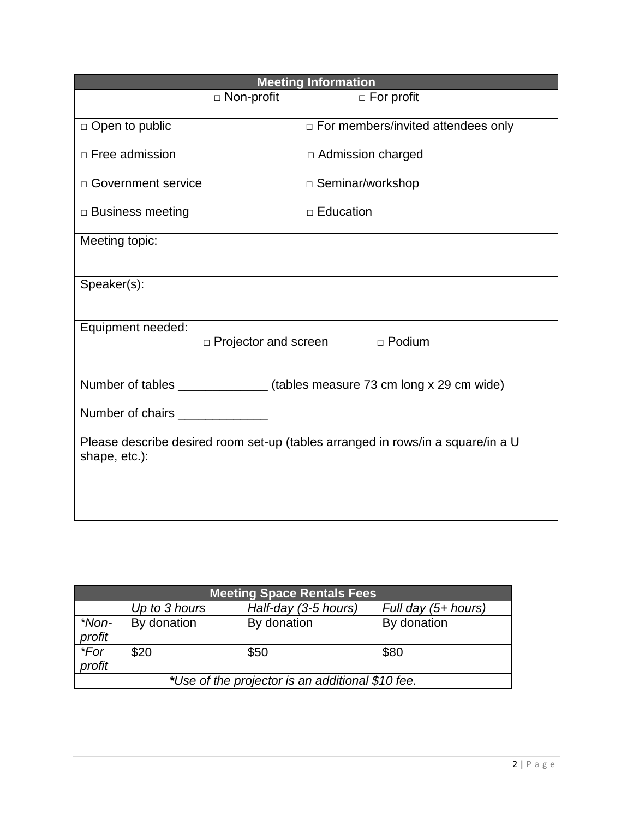| <b>Meeting Information</b>                                                                       |  |  |  |  |
|--------------------------------------------------------------------------------------------------|--|--|--|--|
| $\Box$ For profit                                                                                |  |  |  |  |
| □ For members/invited attendees only                                                             |  |  |  |  |
| $\Box$ Admission charged                                                                         |  |  |  |  |
| □ Seminar/workshop                                                                               |  |  |  |  |
| $\Box$ Education                                                                                 |  |  |  |  |
|                                                                                                  |  |  |  |  |
|                                                                                                  |  |  |  |  |
|                                                                                                  |  |  |  |  |
| Equipment needed:<br>D Projector and screen D Podium                                             |  |  |  |  |
|                                                                                                  |  |  |  |  |
| Number of tables _______________(tables measure 73 cm long x 29 cm wide)                         |  |  |  |  |
|                                                                                                  |  |  |  |  |
| Please describe desired room set-up (tables arranged in rows/in a square/in a U<br>shape, etc.): |  |  |  |  |
|                                                                                                  |  |  |  |  |
|                                                                                                  |  |  |  |  |
|                                                                                                  |  |  |  |  |

| <b>Meeting Space Rentals Fees</b>                |               |                      |                     |  |
|--------------------------------------------------|---------------|----------------------|---------------------|--|
|                                                  | Up to 3 hours | Half-day (3-5 hours) | Full day (5+ hours) |  |
| *Non-                                            | By donation   | By donation          | By donation         |  |
| profit                                           |               |                      |                     |  |
| $*$ For                                          | \$20          | \$50                 | \$80                |  |
| profit                                           |               |                      |                     |  |
| *Use of the projector is an additional \$10 fee. |               |                      |                     |  |